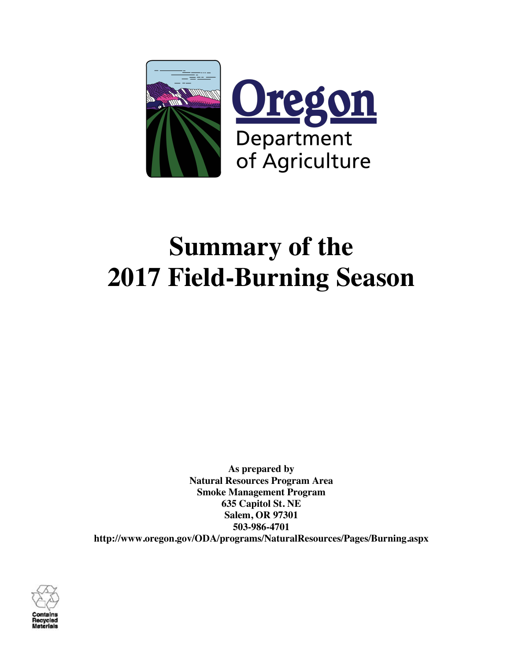

# **Summary of the 2017 Field-Burning Season**

**As prepared by Natural Resources Program Area Smoke Management Program 635 Capitol St. NE Salem, OR 97301 503-986-4701 http://www.oregon.gov/ODA/programs/NaturalResources/Pages/Burning.aspx**

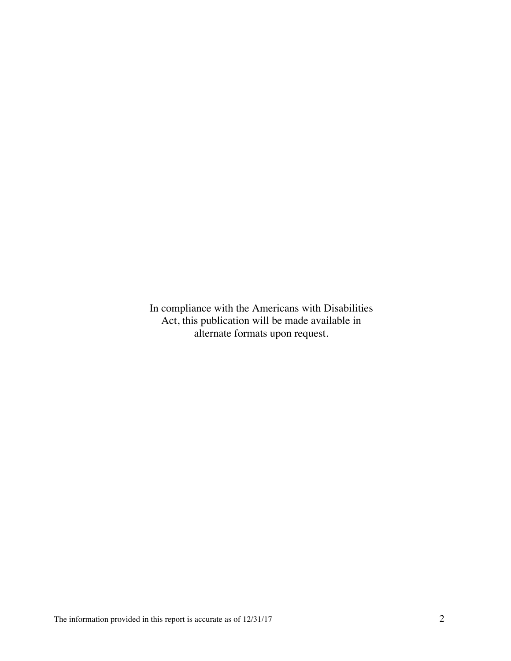In compliance with the Americans with Disabilities Act, this publication will be made available in alternate formats upon request.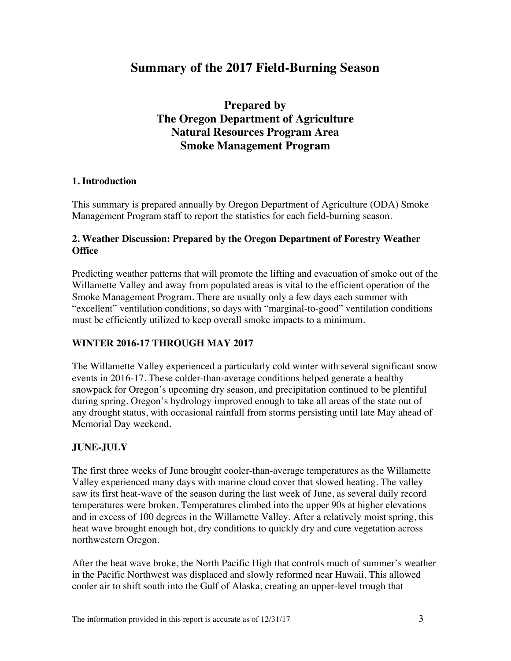# **Summary of the 2017 Field-Burning Season**

# **Prepared by The Oregon Department of Agriculture Natural Resources Program Area Smoke Management Program**

# **1. Introduction**

This summary is prepared annually by Oregon Department of Agriculture (ODA) Smoke Management Program staff to report the statistics for each field-burning season.

# **2. Weather Discussion: Prepared by the Oregon Department of Forestry Weather Office**

Predicting weather patterns that will promote the lifting and evacuation of smoke out of the Willamette Valley and away from populated areas is vital to the efficient operation of the Smoke Management Program. There are usually only a few days each summer with "excellent" ventilation conditions, so days with "marginal-to-good" ventilation conditions must be efficiently utilized to keep overall smoke impacts to a minimum.

# **WINTER 2016-17 THROUGH MAY 2017**

The Willamette Valley experienced a particularly cold winter with several significant snow events in 2016-17. These colder-than-average conditions helped generate a healthy snowpack for Oregon's upcoming dry season, and precipitation continued to be plentiful during spring. Oregon's hydrology improved enough to take all areas of the state out of any drought status, with occasional rainfall from storms persisting until late May ahead of Memorial Day weekend.

# **JUNE-JULY**

The first three weeks of June brought cooler-than-average temperatures as the Willamette Valley experienced many days with marine cloud cover that slowed heating. The valley saw its first heat-wave of the season during the last week of June, as several daily record temperatures were broken. Temperatures climbed into the upper 90s at higher elevations and in excess of 100 degrees in the Willamette Valley. After a relatively moist spring, this heat wave brought enough hot, dry conditions to quickly dry and cure vegetation across northwestern Oregon.

After the heat wave broke, the North Pacific High that controls much of summer's weather in the Pacific Northwest was displaced and slowly reformed near Hawaii. This allowed cooler air to shift south into the Gulf of Alaska, creating an upper-level trough that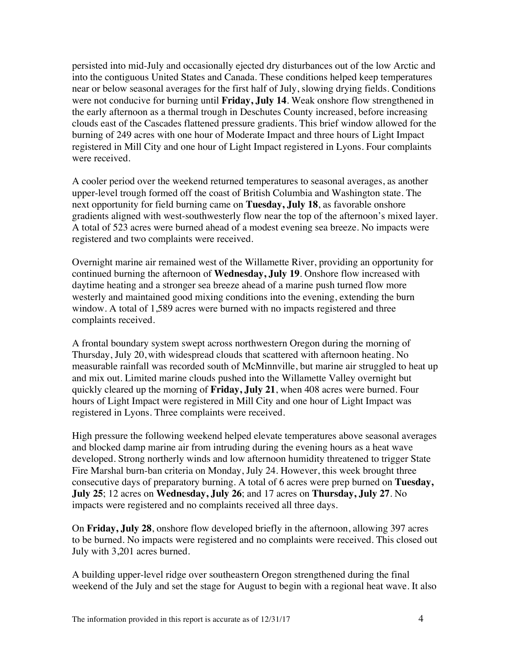persisted into mid-July and occasionally ejected dry disturbances out of the low Arctic and into the contiguous United States and Canada. These conditions helped keep temperatures near or below seasonal averages for the first half of July, slowing drying fields. Conditions were not conducive for burning until **Friday, July 14**. Weak onshore flow strengthened in the early afternoon as a thermal trough in Deschutes County increased, before increasing clouds east of the Cascades flattened pressure gradients. This brief window allowed for the burning of 249 acres with one hour of Moderate Impact and three hours of Light Impact registered in Mill City and one hour of Light Impact registered in Lyons. Four complaints were received.

A cooler period over the weekend returned temperatures to seasonal averages, as another upper-level trough formed off the coast of British Columbia and Washington state. The next opportunity for field burning came on **Tuesday, July 18**, as favorable onshore gradients aligned with west-southwesterly flow near the top of the afternoon's mixed layer. A total of 523 acres were burned ahead of a modest evening sea breeze. No impacts were registered and two complaints were received.

Overnight marine air remained west of the Willamette River, providing an opportunity for continued burning the afternoon of **Wednesday, July 19**. Onshore flow increased with daytime heating and a stronger sea breeze ahead of a marine push turned flow more westerly and maintained good mixing conditions into the evening, extending the burn window. A total of 1,589 acres were burned with no impacts registered and three complaints received.

A frontal boundary system swept across northwestern Oregon during the morning of Thursday, July 20, with widespread clouds that scattered with afternoon heating. No measurable rainfall was recorded south of McMinnville, but marine air struggled to heat up and mix out. Limited marine clouds pushed into the Willamette Valley overnight but quickly cleared up the morning of **Friday, July 21**, when 408 acres were burned. Four hours of Light Impact were registered in Mill City and one hour of Light Impact was registered in Lyons. Three complaints were received.

High pressure the following weekend helped elevate temperatures above seasonal averages and blocked damp marine air from intruding during the evening hours as a heat wave developed. Strong northerly winds and low afternoon humidity threatened to trigger State Fire Marshal burn-ban criteria on Monday, July 24. However, this week brought three consecutive days of preparatory burning. A total of 6 acres were prep burned on **Tuesday, July 25**; 12 acres on **Wednesday, July 26**; and 17 acres on **Thursday, July 27**. No impacts were registered and no complaints received all three days.

On **Friday, July 28**, onshore flow developed briefly in the afternoon, allowing 397 acres to be burned. No impacts were registered and no complaints were received. This closed out July with 3,201 acres burned.

A building upper-level ridge over southeastern Oregon strengthened during the final weekend of the July and set the stage for August to begin with a regional heat wave. It also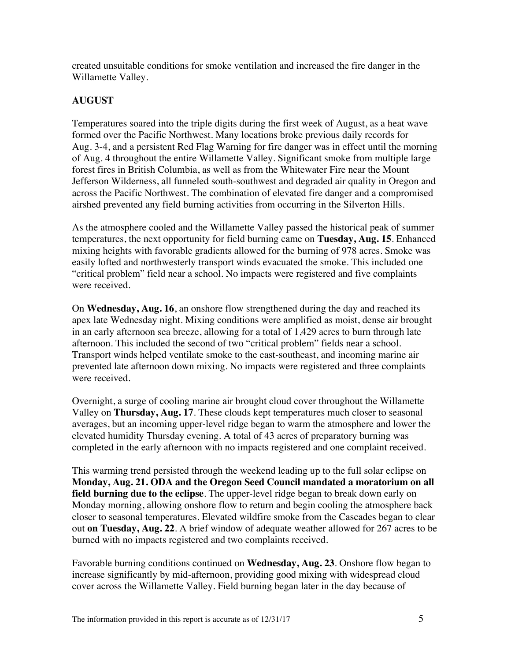created unsuitable conditions for smoke ventilation and increased the fire danger in the Willamette Valley.

# **AUGUST**

Temperatures soared into the triple digits during the first week of August, as a heat wave formed over the Pacific Northwest. Many locations broke previous daily records for Aug. 3-4, and a persistent Red Flag Warning for fire danger was in effect until the morning of Aug. 4 throughout the entire Willamette Valley. Significant smoke from multiple large forest fires in British Columbia, as well as from the Whitewater Fire near the Mount Jefferson Wilderness, all funneled south-southwest and degraded air quality in Oregon and across the Pacific Northwest. The combination of elevated fire danger and a compromised airshed prevented any field burning activities from occurring in the Silverton Hills.

As the atmosphere cooled and the Willamette Valley passed the historical peak of summer temperatures, the next opportunity for field burning came on **Tuesday, Aug. 15**. Enhanced mixing heights with favorable gradients allowed for the burning of 978 acres. Smoke was easily lofted and northwesterly transport winds evacuated the smoke. This included one "critical problem" field near a school. No impacts were registered and five complaints were received.

On **Wednesday, Aug. 16**, an onshore flow strengthened during the day and reached its apex late Wednesday night. Mixing conditions were amplified as moist, dense air brought in an early afternoon sea breeze, allowing for a total of 1,429 acres to burn through late afternoon. This included the second of two "critical problem" fields near a school. Transport winds helped ventilate smoke to the east-southeast, and incoming marine air prevented late afternoon down mixing. No impacts were registered and three complaints were received.

Overnight, a surge of cooling marine air brought cloud cover throughout the Willamette Valley on **Thursday, Aug. 17**. These clouds kept temperatures much closer to seasonal averages, but an incoming upper-level ridge began to warm the atmosphere and lower the elevated humidity Thursday evening. A total of 43 acres of preparatory burning was completed in the early afternoon with no impacts registered and one complaint received.

This warming trend persisted through the weekend leading up to the full solar eclipse on **Monday, Aug. 21. ODA and the Oregon Seed Council mandated a moratorium on all field burning due to the eclipse**. The upper-level ridge began to break down early on Monday morning, allowing onshore flow to return and begin cooling the atmosphere back closer to seasonal temperatures. Elevated wildfire smoke from the Cascades began to clear out **on Tuesday, Aug. 22**. A brief window of adequate weather allowed for 267 acres to be burned with no impacts registered and two complaints received.

Favorable burning conditions continued on **Wednesday, Aug. 23**. Onshore flow began to increase significantly by mid-afternoon, providing good mixing with widespread cloud cover across the Willamette Valley. Field burning began later in the day because of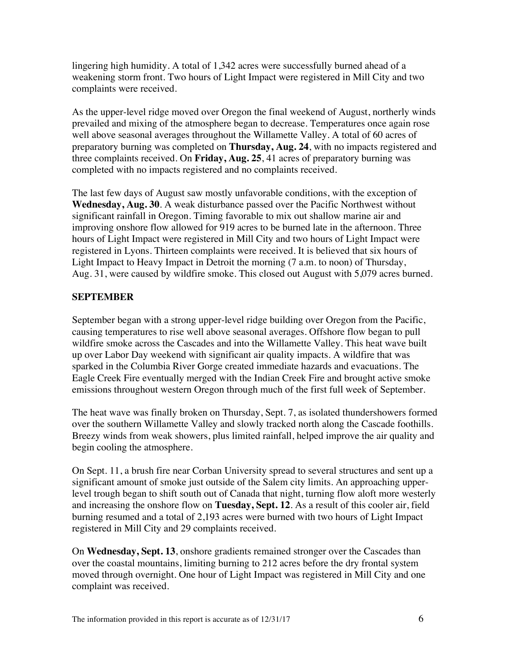lingering high humidity. A total of 1,342 acres were successfully burned ahead of a weakening storm front. Two hours of Light Impact were registered in Mill City and two complaints were received.

As the upper-level ridge moved over Oregon the final weekend of August, northerly winds prevailed and mixing of the atmosphere began to decrease. Temperatures once again rose well above seasonal averages throughout the Willamette Valley. A total of 60 acres of preparatory burning was completed on **Thursday, Aug. 24**, with no impacts registered and three complaints received. On **Friday, Aug. 25**, 41 acres of preparatory burning was completed with no impacts registered and no complaints received.

The last few days of August saw mostly unfavorable conditions, with the exception of **Wednesday, Aug. 30**. A weak disturbance passed over the Pacific Northwest without significant rainfall in Oregon. Timing favorable to mix out shallow marine air and improving onshore flow allowed for 919 acres to be burned late in the afternoon. Three hours of Light Impact were registered in Mill City and two hours of Light Impact were registered in Lyons. Thirteen complaints were received. It is believed that six hours of Light Impact to Heavy Impact in Detroit the morning (7 a.m. to noon) of Thursday, Aug. 31, were caused by wildfire smoke. This closed out August with 5,079 acres burned.

# **SEPTEMBER**

September began with a strong upper-level ridge building over Oregon from the Pacific, causing temperatures to rise well above seasonal averages. Offshore flow began to pull wildfire smoke across the Cascades and into the Willamette Valley. This heat wave built up over Labor Day weekend with significant air quality impacts. A wildfire that was sparked in the Columbia River Gorge created immediate hazards and evacuations. The Eagle Creek Fire eventually merged with the Indian Creek Fire and brought active smoke emissions throughout western Oregon through much of the first full week of September.

The heat wave was finally broken on Thursday, Sept. 7, as isolated thundershowers formed over the southern Willamette Valley and slowly tracked north along the Cascade foothills. Breezy winds from weak showers, plus limited rainfall, helped improve the air quality and begin cooling the atmosphere.

On Sept. 11, a brush fire near Corban University spread to several structures and sent up a significant amount of smoke just outside of the Salem city limits. An approaching upperlevel trough began to shift south out of Canada that night, turning flow aloft more westerly and increasing the onshore flow on **Tuesday, Sept. 12**. As a result of this cooler air, field burning resumed and a total of 2,193 acres were burned with two hours of Light Impact registered in Mill City and 29 complaints received.

On **Wednesday, Sept. 13**, onshore gradients remained stronger over the Cascades than over the coastal mountains, limiting burning to 212 acres before the dry frontal system moved through overnight. One hour of Light Impact was registered in Mill City and one complaint was received.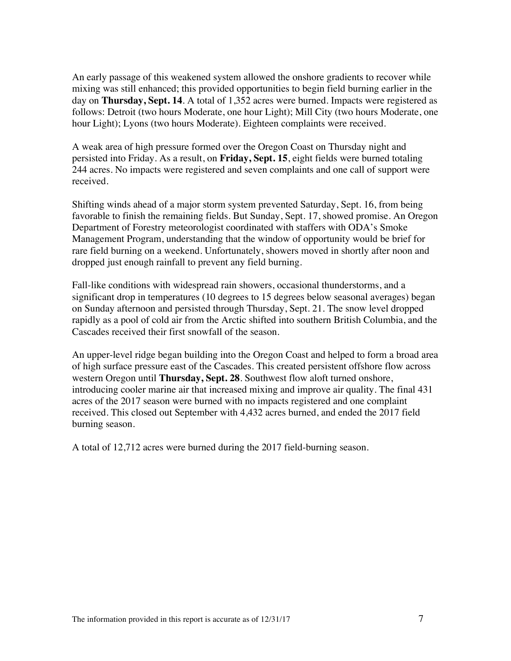An early passage of this weakened system allowed the onshore gradients to recover while mixing was still enhanced; this provided opportunities to begin field burning earlier in the day on **Thursday, Sept. 14**. A total of 1,352 acres were burned. Impacts were registered as follows: Detroit (two hours Moderate, one hour Light); Mill City (two hours Moderate, one hour Light); Lyons (two hours Moderate). Eighteen complaints were received.

A weak area of high pressure formed over the Oregon Coast on Thursday night and persisted into Friday. As a result, on **Friday, Sept. 15**, eight fields were burned totaling 244 acres. No impacts were registered and seven complaints and one call of support were received.

Shifting winds ahead of a major storm system prevented Saturday, Sept. 16, from being favorable to finish the remaining fields. But Sunday, Sept. 17, showed promise. An Oregon Department of Forestry meteorologist coordinated with staffers with ODA's Smoke Management Program, understanding that the window of opportunity would be brief for rare field burning on a weekend. Unfortunately, showers moved in shortly after noon and dropped just enough rainfall to prevent any field burning.

Fall-like conditions with widespread rain showers, occasional thunderstorms, and a significant drop in temperatures (10 degrees to 15 degrees below seasonal averages) began on Sunday afternoon and persisted through Thursday, Sept. 21. The snow level dropped rapidly as a pool of cold air from the Arctic shifted into southern British Columbia, and the Cascades received their first snowfall of the season.

An upper-level ridge began building into the Oregon Coast and helped to form a broad area of high surface pressure east of the Cascades. This created persistent offshore flow across western Oregon until **Thursday, Sept. 28**. Southwest flow aloft turned onshore, introducing cooler marine air that increased mixing and improve air quality. The final 431 acres of the 2017 season were burned with no impacts registered and one complaint received. This closed out September with 4,432 acres burned, and ended the 2017 field burning season.

A total of 12,712 acres were burned during the 2017 field-burning season.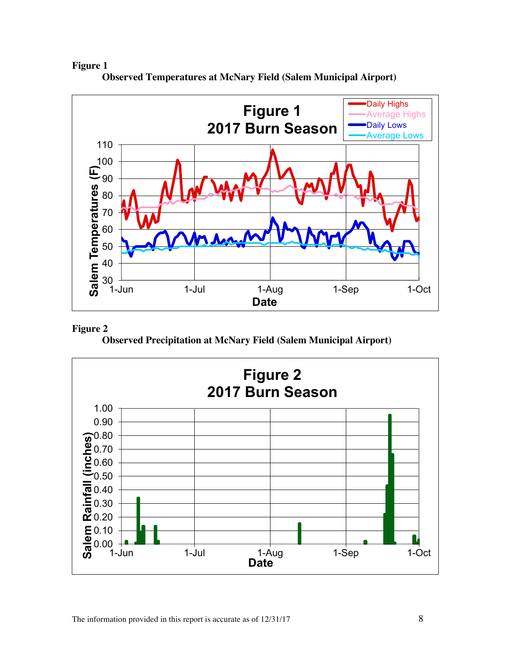# **Figure 1**



**Observed Temperatures at McNary Field (Salem Municipal Airport)**

#### **Figure 2**

**Observed Precipitation at McNary Field (Salem Municipal Airport)**

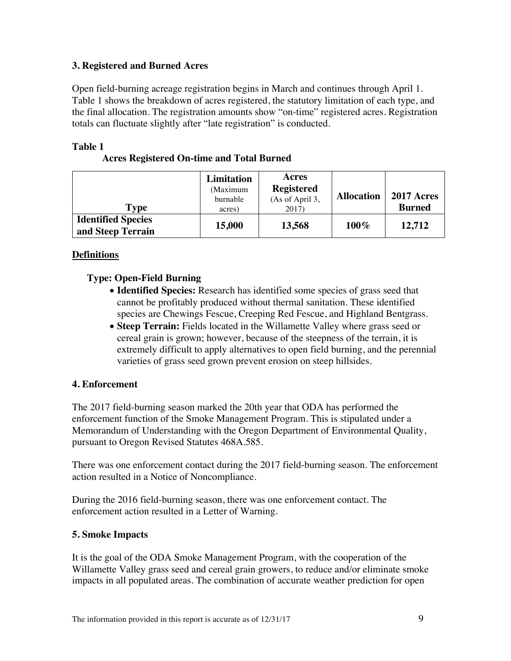#### **3. Registered and Burned Acres**

Open field-burning acreage registration begins in March and continues through April 1. Table 1 shows the breakdown of acres registered, the statutory limitation of each type, and the final allocation. The registration amounts show "on-time" registered acres. Registration totals can fluctuate slightly after "late registration" is conducted.

#### **Table 1**

| Type                                           | Limitation<br>(Maximum<br>burnable<br>acres) | Acres<br><b>Registered</b><br>(As of April 3,<br>2017) | <b>Allocation</b> | <b>2017 Acres</b><br><b>Burned</b> |
|------------------------------------------------|----------------------------------------------|--------------------------------------------------------|-------------------|------------------------------------|
| <b>Identified Species</b><br>and Steep Terrain | 15,000                                       | 13,568                                                 | $100\%$           | 12,712                             |

# **Definitions**

# **Type: Open-Field Burning**

- **Identified Species:** Research has identified some species of grass seed that cannot be profitably produced without thermal sanitation. These identified species are Chewings Fescue, Creeping Red Fescue, and Highland Bentgrass.
- **Steep Terrain:** Fields located in the Willamette Valley where grass seed or cereal grain is grown; however, because of the steepness of the terrain, it is extremely difficult to apply alternatives to open field burning, and the perennial varieties of grass seed grown prevent erosion on steep hillsides.

# **4. Enforcement**

The 2017 field-burning season marked the 20th year that ODA has performed the enforcement function of the Smoke Management Program. This is stipulated under a Memorandum of Understanding with the Oregon Department of Environmental Quality, pursuant to Oregon Revised Statutes 468A.585.

There was one enforcement contact during the 2017 field-burning season. The enforcement action resulted in a Notice of Noncompliance.

During the 2016 field-burning season, there was one enforcement contact. The enforcement action resulted in a Letter of Warning.

# **5. Smoke Impacts**

It is the goal of the ODA Smoke Management Program, with the cooperation of the Willamette Valley grass seed and cereal grain growers, to reduce and/or eliminate smoke impacts in all populated areas. The combination of accurate weather prediction for open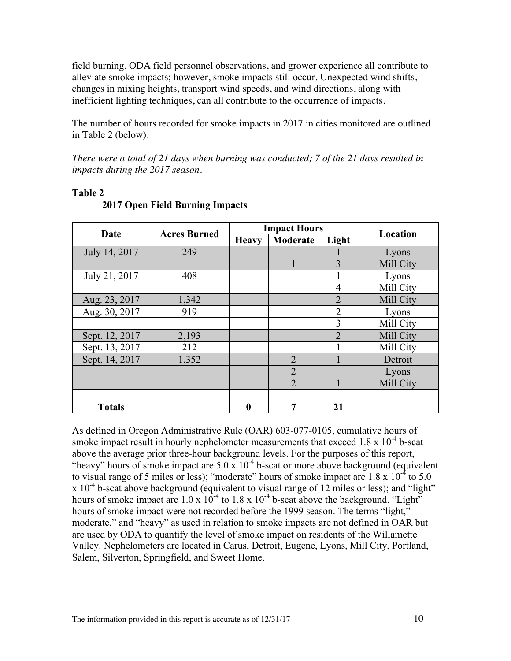field burning, ODA field personnel observations, and grower experience all contribute to alleviate smoke impacts; however, smoke impacts still occur. Unexpected wind shifts, changes in mixing heights, transport wind speeds, and wind directions, along with inefficient lighting techniques, can all contribute to the occurrence of impacts.

The number of hours recorded for smoke impacts in 2017 in cities monitored are outlined in Table 2 (below).

*There were a total of 21 days when burning was conducted; 7 of the 21 days resulted in impacts during the 2017 season.*

| Date           | <b>Acres Burned</b> | <b>Impact Hours</b> |                |                | Location  |  |
|----------------|---------------------|---------------------|----------------|----------------|-----------|--|
|                |                     | <b>Heavy</b>        | Moderate       | Light          |           |  |
| July 14, 2017  | 249                 |                     |                |                | Lyons     |  |
|                |                     |                     |                | 3              | Mill City |  |
| July 21, 2017  | 408                 |                     |                |                | Lyons     |  |
|                |                     |                     |                | $\overline{4}$ | Mill City |  |
| Aug. 23, 2017  | 1,342               |                     |                | $\overline{2}$ | Mill City |  |
| Aug. 30, 2017  | 919                 |                     |                | $\overline{2}$ | Lyons     |  |
|                |                     |                     |                | 3              | Mill City |  |
| Sept. 12, 2017 | 2,193               |                     |                | $\overline{2}$ | Mill City |  |
| Sept. 13, 2017 | 212                 |                     |                |                | Mill City |  |
| Sept. 14, 2017 | 1,352               |                     | $\overline{2}$ |                | Detroit   |  |
|                |                     |                     | $\overline{2}$ |                | Lyons     |  |
|                |                     |                     | $\overline{2}$ |                | Mill City |  |
|                |                     |                     |                |                |           |  |
| <b>Totals</b>  |                     | $\boldsymbol{0}$    | 7              | 21             |           |  |

#### **Table 2**

# **2017 Open Field Burning Impacts**

As defined in Oregon Administrative Rule (OAR) 603-077-0105, cumulative hours of smoke impact result in hourly nephelometer measurements that exceed  $1.8 \times 10^{-4}$  b-scat above the average prior three-hour background levels. For the purposes of this report, "heavy" hours of smoke impact are  $5.0 \times 10^{-4}$  b-scat or more above background (equivalent to visual range of 5 miles or less); "moderate" hours of smoke impact are  $1.8 \times 10^{-4}$  to  $5.0$  $x 10^{-4}$  b-scat above background (equivalent to visual range of 12 miles or less); and "light" hours of smoke impact are  $1.0 \times 10^{-4}$  to  $1.8 \times 10^{-4}$  b-scat above the background. "Light" hours of smoke impact were not recorded before the 1999 season. The terms "light," moderate," and "heavy" as used in relation to smoke impacts are not defined in OAR but are used by ODA to quantify the level of smoke impact on residents of the Willamette Valley. Nephelometers are located in Carus, Detroit, Eugene, Lyons, Mill City, Portland, Salem, Silverton, Springfield, and Sweet Home.